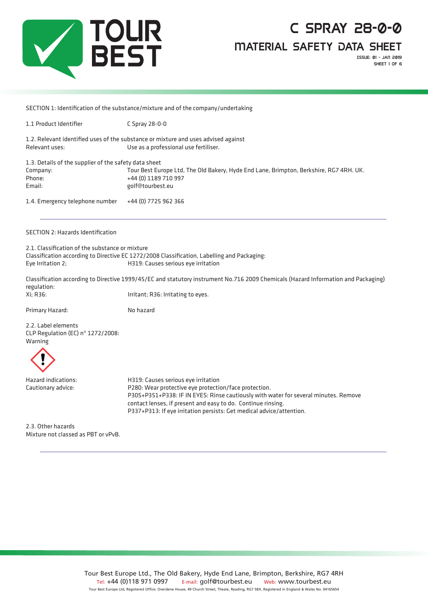

Material Safety Data Sheet

Issue: 01 - jan 2019 SHEET 1 OF 6

SECTION 1: Identification of the substance/mixture and of the company/undertaking

1.1 Product Identifier C Spray 28-0-0

1.2. Relevant identified uses of the substance or mixture and uses advised against Relevant uses: Use as a professional use fertiliser.

| 1.3. Details of the supplier of the safety data sheet |                                                                                        |  |  |  |  |
|-------------------------------------------------------|----------------------------------------------------------------------------------------|--|--|--|--|
| Company:                                              | Tour Best Europe Ltd, The Old Bakery, Hyde End Lane, Brimpton, Berkshire, RG7 4RH. UK. |  |  |  |  |
| Phone:                                                | +44 (0) 1189 710 997                                                                   |  |  |  |  |
| Email:                                                | golf@tourbest.eu                                                                       |  |  |  |  |
| 1.4. Emergency telephone number                       | +44 (0) 7725 962 366                                                                   |  |  |  |  |

#### SECTION 2: Hazards Identification

2.1. Classification of the substance or mixture Classification according to Directive EC 1272/2008 Classification, Labelling and Packaging: Eye Irritation 2; H319: Causes serious eye irritation

Classification according to Directive 1999/45/EC and statutory instrument No.716 2009 Chemicals (Hazard Information and Packaging) regulation: Xi; R36: Irritant; R36: Irritating to eyes.

Primary Hazard: No hazard

2.2. Label elements CLP Regulation (EC) nº 1272/2008: Warning



Hazard indications: H319: Causes serious eye irritation Cautionary advice: P280: Wear protective eye protection/face protection. P305+P351+P338: IF IN EYES: Rinse cautiously with water for several minutes. Remove contact lenses, if present and easy to do. Continue rinsing. P337+P313: If eye irritation persists: Get medical advice/attention.

2.3. Other hazards Mixture not classed as PBT or vPvB.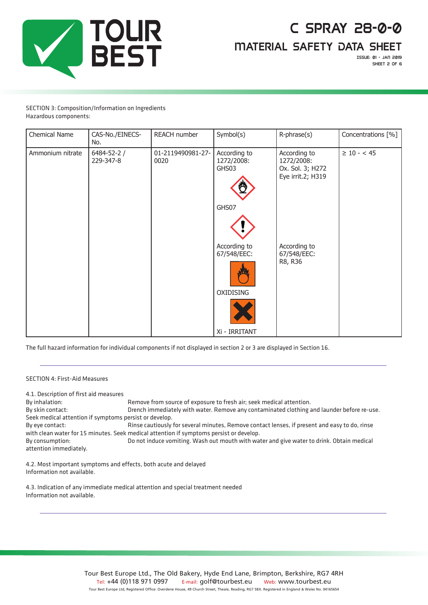

Material Safety Data Sheet

Issue: 01 - jan 2019 SHEET 2 OF 6

#### SECTION 3: Composition/Information on Ingredients Hazardous components:

| Chemical Name    | CAS-No./EINECS-<br>No.         | REACH number              | Symbol(s)                                                 | R-phrase(s)                                                         | Concentrations [%] |
|------------------|--------------------------------|---------------------------|-----------------------------------------------------------|---------------------------------------------------------------------|--------------------|
| Ammonium nitrate | $6484 - 52 - 2 /$<br>229-347-8 | 01-2119490981-27-<br>0020 | According to<br>1272/2008:<br>GHS03<br>GHS07              | According to<br>1272/2008:<br>Ox. Sol. 3; H272<br>Eye irrit.2; H319 | $\geq 10 - < 45$   |
|                  |                                |                           | According to<br>67/548/EEC:<br>OXIDISING<br>Xi - IRRITANT | According to<br>67/548/EEC:<br>R8, R36                              |                    |

The full hazard information for individual components if not displayed in section 2 or 3 are displayed in Section 16.

#### SECTION 4: First-Aid Measures

4.1. Description of first aid measures

By inhalation: Remove from source of exposure to fresh air; seek medical attention. By skin contact: Drench immediately with water. Remove any contaminated clothing and launder before re-use. Seek medical attention if symptoms persist or develop. By eye contact: Rinse cautiously for several minutes, Remove contact lenses, if present and easy to do, rinse with clean water for 15 minutes. Seek medical attention if symptoms persist or develop. By consumption: Do not induce vomiting. Wash out mouth with water and give water to drink. Obtain medical attention immediately.

4.2. Most important symptoms and effects, both acute and delayed Information not available.

4.3. Indication of any immediate medical attention and special treatment needed Information not available.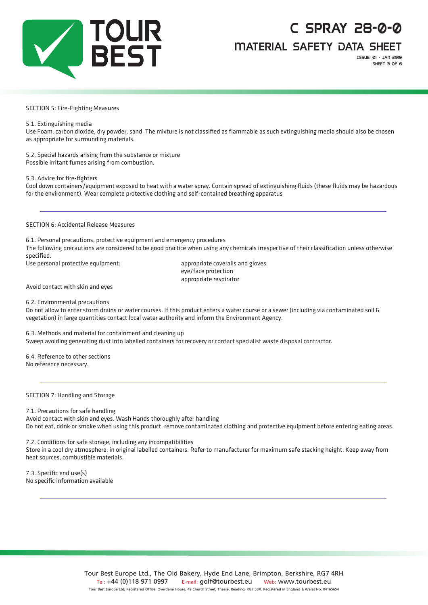

Material Safety Data Sheet

Issue: 01 - jan 2019 SHEET 3 OF 6

#### SECTION 5: Fire-Fighting Measures

5.1. Extinguishing media

Use Foam, carbon dioxide, dry powder, sand. The mixture is not classified as flammable as such extinguishing media should also be chosen as appropriate for surrounding materials.

5.2. Special hazards arising from the substance or mixture Possible irritant fumes arising from combustion.

5.3. Advice for fire-fighters

Cool down containers/equipment exposed to heat with a water spray. Contain spread of extinguishing fluids (these fluids may be hazardous for the environment). Wear complete protective clothing and self-contained breathing apparatus

SECTION 6: Accidental Release Measures

6.1. Personal precautions, protective equipment and emergency procedures

The following precautions are considered to be good practice when using any chemicals irrespective of their classification unless otherwise specified.

Use personal protective equipment: appropriate coveralls and gloves

eye/face protection appropriate respirator

Avoid contact with skin and eyes

6.2. Environmental precautions

Do not allow to enter storm drains or water courses. If this product enters a water course or a sewer (including via contaminated soil & vegetation) in large quantities contact local water authority and inform the Environment Agency.

6.3. Methods and material for containment and cleaning up

Sweep avoiding generating dust into labelled containers for recovery or contact specialist waste disposal contractor.

6.4. Reference to other sections No reference necessary.

SECTION 7: Handling and Storage

7.1. Precautions for safe handling Avoid contact with skin and eyes. Wash Hands thoroughly after handling Do not eat, drink or smoke when using this product. remove contaminated clothing and protective equipment before entering eating areas.

7.2. Conditions for safe storage, including any incompatibilities Store in a cool dry atmosphere, in original labelled containers. Refer to manufacturer for maximum safe stacking height. Keep away from heat sources, combustible materials.

7.3. Specific end use(s) No specific information available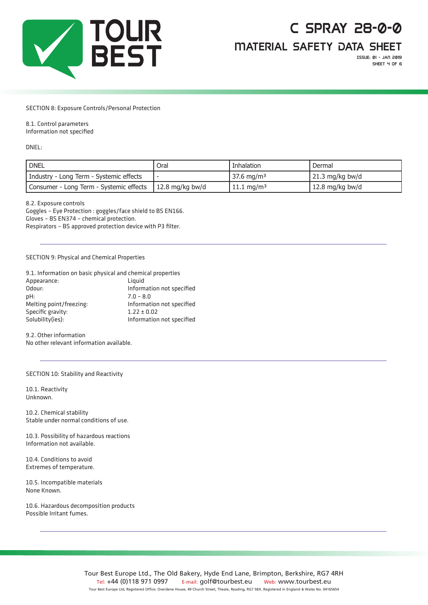

Material Safety Data Sheet

Issue: 01 - jan 2019 SHEET 4 OF 6

#### SECTION 8: Exposure Controls/Personal Protection

#### 8.1. Control parameters

Information not specified

DNEL:

| <b>DNEL</b>                                               | Oral | Inhalation             | Dermal                    |
|-----------------------------------------------------------|------|------------------------|---------------------------|
| Industry - Long Term - Systemic effects                   |      | 37.6 mg/m <sup>3</sup> | $21.3 \text{ mg/kg}$ bw/d |
| Consumer - Long Term - Systemic effects   12.8 mg/kg bw/d |      | 11.1 mg/m <sup>3</sup> | $\vert$ 12.8 mg/kg bw/d   |

8.2. Exposure controls

Goggles – Eye Protection : goggles/face shield to BS EN166. Gloves – BS EN374 – chemical protection. Respirators – BS approved protection device with P3 filter.

#### SECTION 9: Physical and Chemical Properties

| 9.1. Information on basic physical and chemical properties |                           |
|------------------------------------------------------------|---------------------------|
| Appearance:                                                | Liauid                    |
| Odour:                                                     | Information not specified |
| pH:                                                        | $7.0 - 8.0$               |
| Melting point/freezing:                                    | Information not specified |
| Specific gravity:                                          | $1.22 \pm 0.02$           |
| Solubility(ies):                                           | Information not specified |

9.2. Other information No other relevant information available.

SECTION 10: Stability and Reactivity

10.1. Reactivity Unknown.

10.2. Chemical stability Stable under normal conditions of use.

10.3. Possibility of hazardous reactions Information not available.

10.4. Conditions to avoid Extremes of temperature.

10.5. Incompatible materials None Known.

10.6. Hazardous decomposition products Possible Irritant fumes.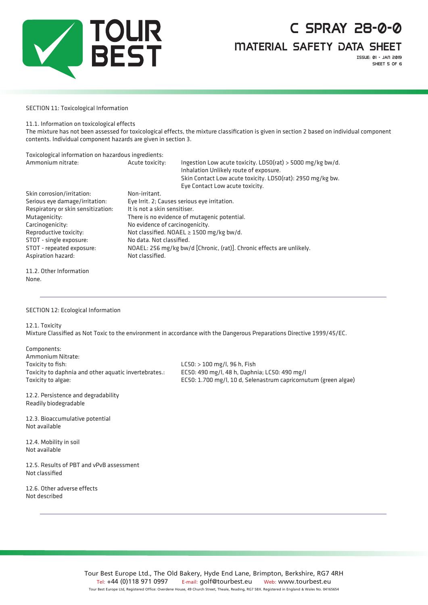

Material Safety Data Sheet

Issue: 01 - jan 2019 SHEET 5 OF 6

#### SECTION 11: Toxicological Information

11.1. Information on toxicological effects

The mixture has not been assessed for toxicological effects, the mixture classification is given in section 2 based on individual component contents. Individual component hazards are given in section 3.

| Toxicological information on hazardous ingredients: |                                                                                          |                                                                                                                                                                                                       |  |
|-----------------------------------------------------|------------------------------------------------------------------------------------------|-------------------------------------------------------------------------------------------------------------------------------------------------------------------------------------------------------|--|
| Ammonium nitrate:                                   | Acute toxicity:                                                                          | Ingestion Low acute toxicity. LD50(rat) > 5000 mg/kg bw/d.<br>Inhalation Unlikely route of exposure.<br>Skin Contact Low acute toxicity. LD50(rat): 2950 mg/kg bw.<br>Eye Contact Low acute toxicity. |  |
| Skin corrosion/irritation:                          | Non-irritant.                                                                            |                                                                                                                                                                                                       |  |
| Serious eye damage/irritation:                      | Eye Irrit. 2; Causes serious eye irritation.                                             |                                                                                                                                                                                                       |  |
| Respiratory or skin sensitization:                  | It is not a skin sensitiser.                                                             |                                                                                                                                                                                                       |  |
| Mutagenicity:                                       | There is no evidence of mutagenic potential.                                             |                                                                                                                                                                                                       |  |
| Carcinogenicity:                                    | No evidence of carcinogenicity.                                                          |                                                                                                                                                                                                       |  |
| Reproductive toxicity:                              | Not classified. NOAEL $\geq$ 1500 mg/kg bw/d.                                            |                                                                                                                                                                                                       |  |
| STOT - single exposure:                             | No data. Not classified.                                                                 |                                                                                                                                                                                                       |  |
| STOT - repeated exposure:<br>Aspiration hazard:     | NOAEL: 256 mg/kg bw/d [Chronic, (rat)]. Chronic effects are unlikely.<br>Not classified. |                                                                                                                                                                                                       |  |
|                                                     |                                                                                          |                                                                                                                                                                                                       |  |

11.2. Other Information None.

SECTION 12: Ecological Information

12.1. Toxicity

Mixture Classified as Not Toxic to the environment in accordance with the Dangerous Preparations Directive 1999/45/EC.

Components: Ammonium Nitrate: Toxicity to fish: LC50: > 100 mg/l, 96 h, Fish Toxicity to daphnia and other aquatic invertebrates.: EC50: 490 mg/l, 48 h, Daphnia; LC50: 490 mg/l

Toxicity to algae: EC50: 1.700 mg/l, 10 d, Selenastrum capricornutum (green algae)

12.2. Persistence and degradability Readily biodegradable

12.3. Bioaccumulative potential Not available

12.4. Mobility in soil Not available

12.5. Results of PBT and vPvB assessment Not classified

12.6. Other adverse effects Not described